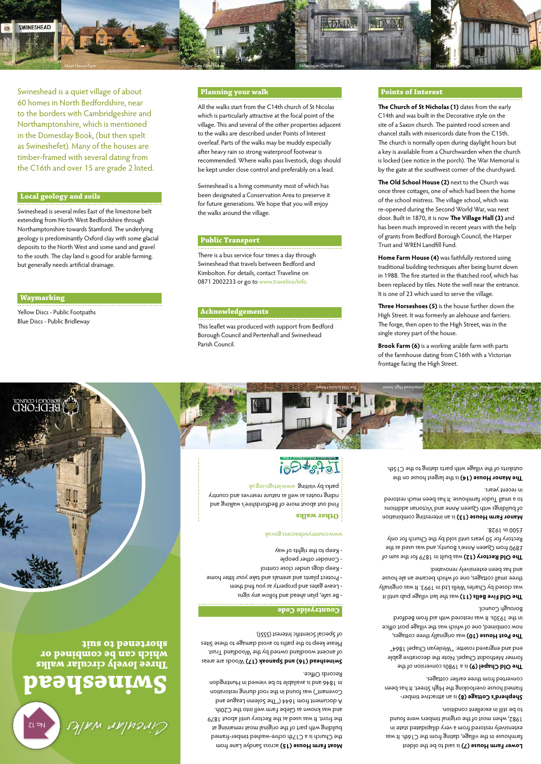**Three lovely circular walks which can be combined or shortened to suit**

## **Other walks**



Find out about more of Bedfordshire's walking and riding routes as well as nature reserves and country

No. 12

#### **Countryside Code**

- Be safe, plan ahead and follow any signs - Leave gates and property as you find them - Protect plants and animals and take your litter home

> Lower Farm House (7) is said to be the oldest farmhouse in the village, dating from the C16th. It was extensively restored from a very dilapidated state in 1982, when most of the original timbers were found to be still in excellent condition.

- Consider other people
- Keep dogs under close control
- 

## **Swineshead**  Cinculan walks

- Keep to the rights of way

www.countrysideaccess.gov.uk

**Jhe Old Chapel (9)** is a 1980s conversion of the former Methodist Chapel. Note the decorative gable end and engraved rosette: "Wesleyan Chapel 1864"

**The Post House (10)** was originally three cottages, now combined, one of which was the village post office in the 1930s. It was restored with aid from Bedford Borough Council.

**The Old Five Bells (11)** was the last village pub until it was closed by Charles Wells Ltd in 1993. It was originally three small cottages, one of which became an ale house

**The Old Rectory (12)** was built in 1879 for the sum of £890 from Queen Anne's Bounty, and was used as the Rectory for 50 years until sold by the Church for only

 is an attractive timber- **Shepherd's Cottage (8)** framed house overlooking the High Street. It has been converted from three earlier cottages.

Manor Farm House (13) is an interesting combination of buildings with Queen Anne and Victorian additions to a small Tudor farmhouse. It has been much restored

**The Manor House (14)** is the largest house on the outskirts of the village with parts dating to the C15th.

**Aloat Farm House (15) across Sandye Lane from** the Church is a C17th ochre-washed timber-framed building with part of the original moat remaining at the front. It was used as the Rectory until about 1879 and was known as Glebe Farm well into the C20th. A document from 1644 ("The Solemn League and Sole Covenant") was found in the roof during restoration in 1846 and is available to be viewed in Huntingdon Records Office.

**BEAR AREAS (16) Assumed to Areas areas and Spanish (16)** of ancient woodland owned by the Woodland Trust. Please keep to the paths to avoid damage to these Sites of Special Scientific Interest (SSSI). and has been extensively renovated.

£500 in 1928.

in recent years.

## $i_{0}\Theta = s_{0} + s_{0}$

Parks py visiting www.letsgo.org.uk



**Home Farm House (4)** was faithfully restored using traditional building techniques after being burnt down in 1988. The fire started in the thatched roof, which has been replaced by tiles. Note the well near the entrance. It is one of 23 which used to serve the village.



Swineshead is a quiet village of about 60 homes in North Bedfordshire, near to the borders with Cambridgeshire and Northamptonshire, which is mentioned in the Domesday Book, (but then spelt as Swineshefet). Many of the houses are timber-framed with several dating from the C16th and over 15 are grade 2 listed.

### **Local geology and soils**

Swineshead is several miles East of the limestone belt extending from North West Bedfordshire through Northamptonshire towards Stamford. The underlying geology is predominantly Oxford clay with some glacial deposits to the North West and some sand and gravel to the south. The clay land is good for arable farming. but generally needs artificial drainage.

## **Public Transport**

There is a bus service four times a day through Swineshead that travels between Bedford and Kimbolton. For details, contact Traveline on 0871 2002233 or go to www.traveline/info

## **Acknowledgements**

This leaflet was produced with support from Bedford Borough Council and Pertenhall and Swineshead Parish Council.

### **Waymarking**

BOKONCH CONMCIT<br>BEDLOKD

Yellow Discs - Public Footpaths Blue Discs - Public Bridleway

### **Planning your walk**

All the walks start from the C14th church of St Nicolas which is particularly attractive at the focal point of the village. This and several of the other properties adjacent to the walks are described under Points of Interest overleaf. Parts of the walks may be muddy especially after heavy rain so strong waterproof footwear is recommended. Where walks pass livestock, dogs should be kept under close control and preferably on a lead.

Moat House Farm Pear Tree Farm House Pear Tree Farm House Millennium Church Gates Shepherd's Cottage Shepherd's Cottage

**ADMN.** 

Swineshead is a living community most of which has been designated a Conservation Area to preserve it for future generations. We hope that you will enjoy the walks around the village.

## **Points of Interest**

**The Church of St Nicholas (1)** dates from the early C14th and was built in the Decorative style on the site of a Saxon church. The painted rood screen and chancel stalls with misericords date from the C15th. The church is normally open during daylight hours but a key is available from a Churchwarden when the church is locked (see notice in the porch). The War Memorial is by the gate at the southwest corner of the churchyard.

**The Old School House (2)** next to the Church was once three cottages, one of which had been the home of the school mistress. The village school, which was re-opened during the Second World War, was next door. Built in 1870, it is now **The Village Hall (3)** and has been much improved in recent years with the help of grants from Bedford Borough Council, the Harper Trust and WREN Landfill Fund.

**Three Horseshoes (5)** is the house further down the High Street. It was formerly an alehouse and farriers. The forge, then open to the High Street, was in the single storey part of the house.

**Brook Farm (6)** is a working arable farm with parts of the farmhouse dating from C16th with a Victorian frontage facing the High Street.